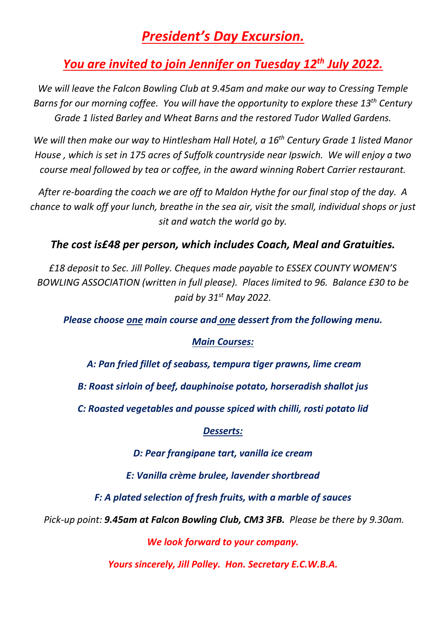# *President's Day Excursion.*

## *You are invited to join Jennifer on Tuesday 12 th July 2022.*

*We will leave the Falcon Bowling Club at 9.45am and make our way to Cressing Temple Barns for our morning coffee. You will have the opportunity to explore these 13th Century Grade 1 listed Barley and Wheat Barns and the restored Tudor Walled Gardens.*

*We will then make our way to Hintlesham Hall Hotel, a 16th Century Grade 1 listed Manor House , which is set in 175 acres of Suffolk countryside near Ipswich. We will enjoy a two course meal followed by tea or coffee, in the award winning Robert Carrier restaurant.*

*After re-boarding the coach we are off to Maldon Hythe for our final stop of the day. A chance to walk off your lunch, breathe in the sea air, visit the small, individual shops or just sit and watch the world go by.*

## *The cost is£48 per person, which includes Coach, Meal and Gratuities.*

*£18 deposit to Sec. Jill Polley. Cheques made payable to ESSEX COUNTY WOMEN'S BOWLING ASSOCIATION (written in full please). Places limited to 96. Balance £30 to be paid by 31st May 2022.*

*Please choose one main course and one dessert from the following menu.*

### *Main Courses:*

*A: Pan fried fillet of seabass, tempura tiger prawns, lime cream*

*B: Roast sirloin of beef, dauphinoise potato, horseradish shallot jus*

*C: Roasted vegetables and pousse spiced with chilli, rosti potato lid*

### *Desserts:*

*D: Pear frangipane tart, vanilla ice cream*

*E: Vanilla crème brulee, lavender shortbread*

*F: A plated selection of fresh fruits, with a marble of sauces*

*Pick-up point: 9.45am at Falcon Bowling Club, CM3 3FB. Please be there by 9.30am.*

*We look forward to your company.*

*Yours sincerely, Jill Polley. Hon. Secretary E.C.W.B.A.*